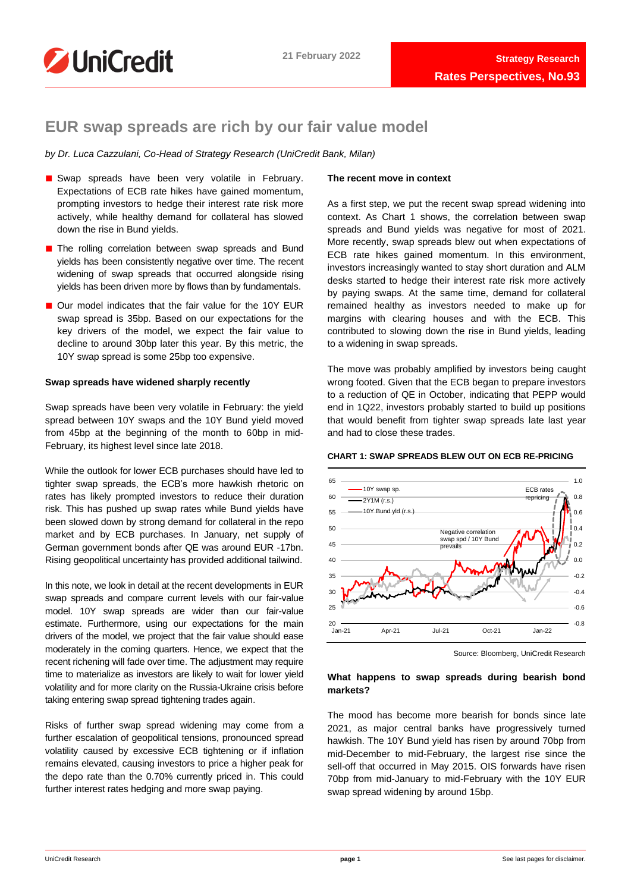

# **EUR swap spreads are rich by our fair value model**

*by Dr. Luca Cazzulani, Co-Head of Strategy Research (UniCredit Bank, Milan)*

- Swap spreads have been very volatile in February. Expectations of ECB rate hikes have gained momentum, prompting investors to hedge their interest rate risk more actively, while healthy demand for collateral has slowed down the rise in Bund yields.
- The rolling correlation between swap spreads and Bund yields has been consistently negative over time. The recent widening of swap spreads that occurred alongside rising yields has been driven more by flows than by fundamentals.
- Our model indicates that the fair value for the 10Y EUR swap spread is 35bp. Based on our expectations for the key drivers of the model, we expect the fair value to decline to around 30bp later this year. By this metric, the 10Y swap spread is some 25bp too expensive.

# **Swap spreads have widened sharply recently**

Swap spreads have been very volatile in February: the yield spread between 10Y swaps and the 10Y Bund yield moved from 45bp at the beginning of the month to 60bp in mid-February, its highest level since late 2018.

While the outlook for lower ECB purchases should have led to tighter swap spreads, the ECB's more hawkish rhetoric on rates has likely prompted investors to reduce their duration risk. This has pushed up swap rates while Bund yields have been slowed down by strong demand for collateral in the repo market and by ECB purchases. In January, net supply of German government bonds after QE was around EUR -17bn. Rising geopolitical uncertainty has provided additional tailwind.

In this note, we look in detail at the recent developments in EUR swap spreads and compare current levels with our fair-value model. 10Y swap spreads are wider than our fair-value estimate. Furthermore, using our expectations for the main drivers of the model, we project that the fair value should ease moderately in the coming quarters. Hence, we expect that the recent richening will fade over time. The adjustment may require time to materialize as investors are likely to wait for lower yield volatility and for more clarity on the Russia-Ukraine crisis before taking entering swap spread tightening trades again.

Risks of further swap spread widening may come from a further escalation of geopolitical tensions, pronounced spread volatility caused by excessive ECB tightening or if inflation remains elevated, causing investors to price a higher peak for the depo rate than the 0.70% currently priced in. This could further interest rates hedging and more swap paying.

# **The recent move in context**

As a first step, we put the recent swap spread widening into context. As Chart 1 shows, the correlation between swap spreads and Bund yields was negative for most of 2021. More recently, swap spreads blew out when expectations of ECB rate hikes gained momentum. In this environment, investors increasingly wanted to stay short duration and ALM desks started to hedge their interest rate risk more actively by paying swaps. At the same time, demand for collateral remained healthy as investors needed to make up for margins with clearing houses and with the ECB. This contributed to slowing down the rise in Bund yields, leading to a widening in swap spreads.

The move was probably amplified by investors being caught wrong footed. Given that the ECB began to prepare investors to a reduction of QE in October, indicating that PEPP would end in 1Q22, investors probably started to build up positions that would benefit from tighter swap spreads late last year and had to close these trades.

## **CHART 1: SWAP SPREADS BLEW OUT ON ECB RE-PRICING**



Source: Bloomberg, UniCredit Research

# **What happens to swap spreads during bearish bond markets?**

The mood has become more bearish for bonds since late 2021, as major central banks have progressively turned hawkish. The 10Y Bund yield has risen by around 70bp from mid-December to mid-February, the largest rise since the sell-off that occurred in May 2015. OIS forwards have risen 70bp from mid-January to mid-February with the 10Y EUR swap spread widening by around 15bp.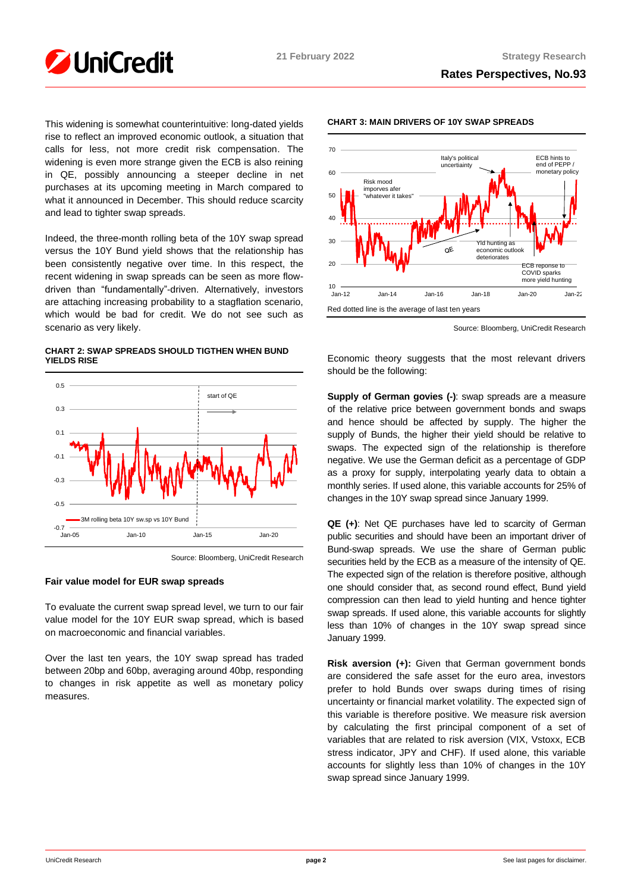

This widening is somewhat counterintuitive: long-dated yields rise to reflect an improved economic outlook, a situation that calls for less, not more credit risk compensation. The widening is even more strange given the ECB is also reining in QE, possibly announcing a steeper decline in net purchases at its upcoming meeting in March compared to what it announced in December. This should reduce scarcity and lead to tighter swap spreads.

Indeed, the three-month rolling beta of the 10Y swap spread versus the 10Y Bund yield shows that the relationship has been consistently negative over time. In this respect, the recent widening in swap spreads can be seen as more flowdriven than "fundamentally"-driven. Alternatively, investors are attaching increasing probability to a stagflation scenario, which would be bad for credit. We do not see such as scenario as very likely.

**CHART 2: SWAP SPREADS SHOULD TIGTHEN WHEN BUND YIELDS RISE**



Source: Bloomberg, UniCredit Research

# **Fair value model for EUR swap spreads**

To evaluate the current swap spread level, we turn to our fair value model for the 10Y EUR swap spread, which is based on macroeconomic and financial variables.

Over the last ten years, the 10Y swap spread has traded between 20bp and 60bp, averaging around 40bp, responding to changes in risk appetite as well as monetary policy measures.



# **CHART 3: MAIN DRIVERS OF 10Y SWAP SPREADS**

Source: Bloomberg, UniCredit Research

Economic theory suggests that the most relevant drivers should be the following:

**Supply of German govies (-)**: swap spreads are a measure of the relative price between government bonds and swaps and hence should be affected by supply. The higher the supply of Bunds, the higher their yield should be relative to swaps. The expected sign of the relationship is therefore negative. We use the German deficit as a percentage of GDP as a proxy for supply, interpolating yearly data to obtain a monthly series. If used alone, this variable accounts for 25% of changes in the 10Y swap spread since January 1999.

**QE (+)**: Net QE purchases have led to scarcity of German public securities and should have been an important driver of Bund-swap spreads. We use the share of German public securities held by the ECB as a measure of the intensity of QE. The expected sign of the relation is therefore positive, although one should consider that, as second round effect, Bund yield compression can then lead to yield hunting and hence tighter swap spreads. If used alone, this variable accounts for slightly less than 10% of changes in the 10Y swap spread since January 1999.

**Risk aversion (+):** Given that German government bonds are considered the safe asset for the euro area, investors prefer to hold Bunds over swaps during times of rising uncertainty or financial market volatility. The expected sign of this variable is therefore positive. We measure risk aversion by calculating the first principal component of a set of variables that are related to risk aversion (VIX, Vstoxx, ECB stress indicator, JPY and CHF). If used alone, this variable accounts for slightly less than 10% of changes in the 10Y swap spread since January 1999.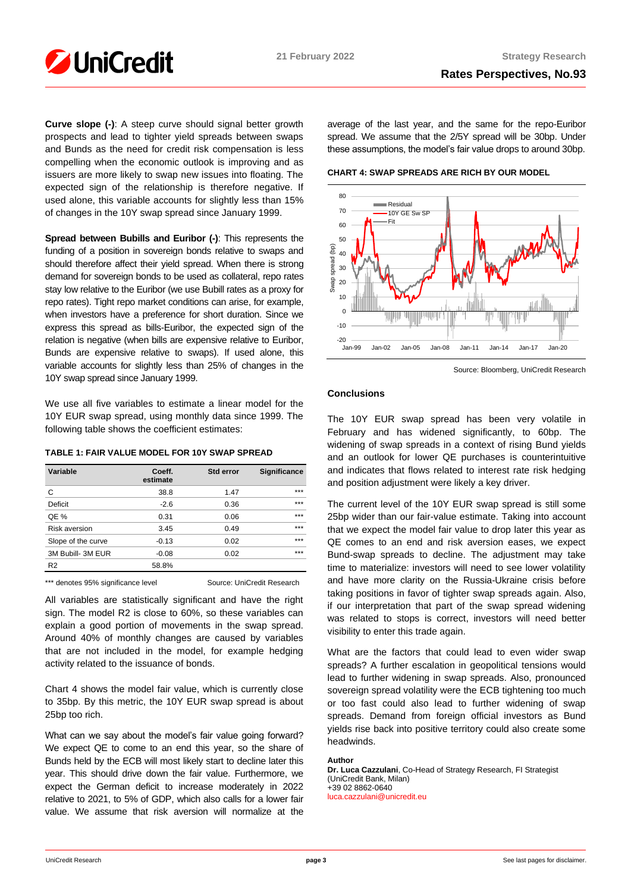

**Curve slope (-)**: A steep curve should signal better growth prospects and lead to tighter yield spreads between swaps and Bunds as the need for credit risk compensation is less compelling when the economic outlook is improving and as issuers are more likely to swap new issues into floating. The expected sign of the relationship is therefore negative. If used alone, this variable accounts for slightly less than 15% of changes in the 10Y swap spread since January 1999.

**Spread between Bubills and Euribor (-)**: This represents the funding of a position in sovereign bonds relative to swaps and should therefore affect their yield spread. When there is strong demand for sovereign bonds to be used as collateral, repo rates stay low relative to the Euribor (we use Bubill rates as a proxy for repo rates). Tight repo market conditions can arise, for example, when investors have a preference for short duration. Since we express this spread as bills-Euribor, the expected sign of the relation is negative (when bills are expensive relative to Euribor, Bunds are expensive relative to swaps). If used alone, this variable accounts for slightly less than 25% of changes in the 10Y swap spread since January 1999.

We use all five variables to estimate a linear model for the 10Y EUR swap spread, using monthly data since 1999. The following table shows the coefficient estimates:

# **TABLE 1: FAIR VALUE MODEL FOR 10Y SWAP SPREAD**

| Variable             | Coeff.<br>estimate | Std error | Significance |
|----------------------|--------------------|-----------|--------------|
| C                    | 38.8               | 1.47      | ***          |
| Deficit              | $-2.6$             | 0.36      | ***          |
| QE %                 | 0.31               | 0.06      | ***          |
| <b>Risk aversion</b> | 3.45               | 0.49      | ***          |
| Slope of the curve   | $-0.13$            | 0.02      | ***          |
| 3M Bubill- 3M EUR    | $-0.08$            | 0.02      | ***          |
| R <sub>2</sub>       | 58.8%              |           |              |

\*\*\* denotes 95% significance level Source: UniCredit Research

All variables are statistically significant and have the right sign. The model R2 is close to 60%, so these variables can explain a good portion of movements in the swap spread. Around 40% of monthly changes are caused by variables that are not included in the model, for example hedging activity related to the issuance of bonds.

Chart 4 shows the model fair value, which is currently close to 35bp. By this metric, the 10Y EUR swap spread is about 25bp too rich.

What can we say about the model's fair value going forward? We expect QE to come to an end this year, so the share of Bunds held by the ECB will most likely start to decline later this year. This should drive down the fair value. Furthermore, we expect the German deficit to increase moderately in 2022 relative to 2021, to 5% of GDP, which also calls for a lower fair value. We assume that risk aversion will normalize at the average of the last year, and the same for the repo-Euribor spread. We assume that the 2/5Y spread will be 30bp. Under these assumptions, the model's fair value drops to around 30bp.

**CHART 4: SWAP SPREADS ARE RICH BY OUR MODEL**



Source: Bloomberg, UniCredit Research

# **Conclusions**

The 10Y EUR swap spread has been very volatile in February and has widened significantly, to 60bp. The widening of swap spreads in a context of rising Bund yields and an outlook for lower QE purchases is counterintuitive and indicates that flows related to interest rate risk hedging and position adjustment were likely a key driver.

The current level of the 10Y EUR swap spread is still some 25bp wider than our fair-value estimate. Taking into account that we expect the model fair value to drop later this year as QE comes to an end and risk aversion eases, we expect Bund-swap spreads to decline. The adjustment may take time to materialize: investors will need to see lower volatility and have more clarity on the Russia-Ukraine crisis before taking positions in favor of tighter swap spreads again. Also, if our interpretation that part of the swap spread widening was related to stops is correct, investors will need better visibility to enter this trade again.

What are the factors that could lead to even wider swap spreads? A further escalation in geopolitical tensions would lead to further widening in swap spreads. Also, pronounced sovereign spread volatility were the ECB tightening too much or too fast could also lead to further widening of swap spreads. Demand from foreign official investors as Bund yields rise back into positive territory could also create some headwinds.

# **Author**

**Dr. Luca Cazzulani**, Co-Head of Strategy Research, FI Strategist (UniCredit Bank, Milan) +39 02 8862-0640 [luca.cazzulani@unicredit.eu](mailto:luca.cazzulani@unicredit.eu)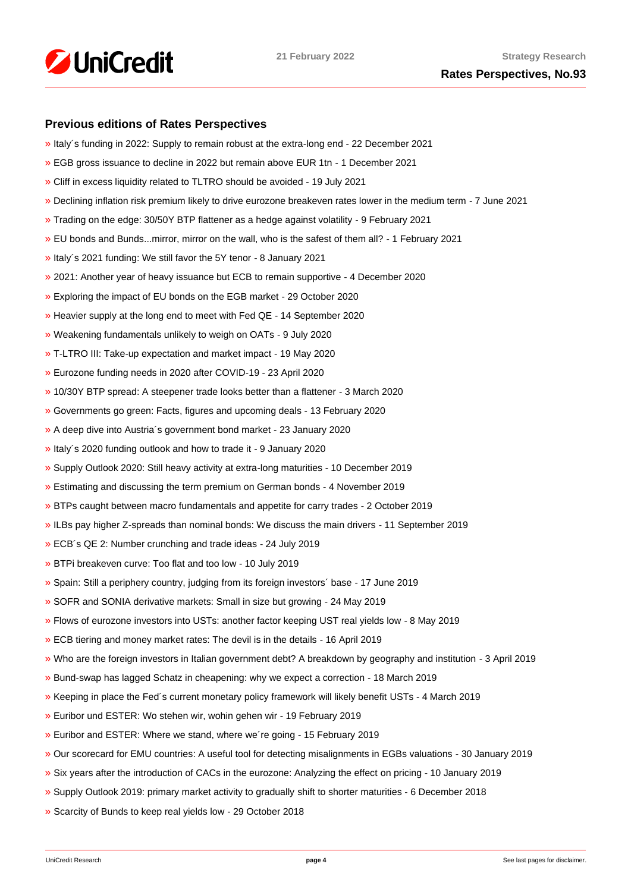

# **Previous editions of Rates Perspectives**

- [»](https://www.research.unicredit.eu/DocsKey/fxfistrategy_docs_2021_182037.ashx?EXT=pdf&KEY=KZGTuQCn4lsvclJnUgseVCsY1pNwWYpSeN7QVT9NIgfs0wGw0dvVmg==&T=1) Italy´s funding in 2022: Supply to remain robust at the extra-long end 22 December 2021
- [»](https://www.research.unicredit.eu/DocsKey/fxfistrategy_docs_2021_181865.ashx?EXT=pdf&KEY=KZGTuQCn4lsvclJnUgseVCsY1pNwWYpS6p9s1QyHBAmt72bVunj69Q==&T=1) EGB gross issuance to decline in 2022 but remain above EUR 1tn 1 December 2021
- [»](https://www.research.unicredit.eu/DocsKey/fxfistrategy_docs_2021_180744.ashx?EXT=pdf&KEY=KZGTuQCn4lsvclJnUgseVCsY1pNwWYpSDrsnC7pek3Qo6o4QdG1UDg==&T=1) Cliff in excess liquidity related to TLTRO should be avoided 19 July 2021
- [»](https://www.research.unicredit.eu/DocsKey/fxfistrategy_docs_2021_180333.ashx?EXT=pdf&KEY=KZGTuQCn4lsvclJnUgseVCsY1pNwWYpSfk0SvE3S76oaIky_YUON5g==&T=1) Declining inflation risk premium likely to drive eurozone breakeven rates lower in the medium term 7 June 2021
- [»](https://www.research.unicredit.eu/DocsKey/fxfistrategy_docs_2021_179186.ashx?EXT=pdf&KEY=KZGTuQCn4lsvclJnUgseVCsY1pNwWYpSJTSghNhr0dG4SAep3M0SAg==&T=1) Trading on the edge: 30/50Y BTP flattener as a hedge against volatility 9 February 2021
- [»](https://www.research.unicredit.eu/DocsKey/fxfistrategy_docs_2021_179093.ashx?EXT=pdf&KEY=KZGTuQCn4lsvclJnUgseVCsY1pNwWYpSseITqiopMUYb21i9hmCfCA==&T=1) EU bonds and Bunds...mirror, mirror on the wall, who is the safest of them all? 1 February 2021
- [»](https://www.research.unicredit.eu/DocsKey/fxfistrategy_docs_2021_178879.ashx?EXT=pdf&KEY=KZGTuQCn4lsvclJnUgseVCsY1pNwWYpSxYneOq3LGyt4eyF56Lnjig==&T=1) Italy´s 2021 funding: We still favor the 5Y tenor 8 January 2021
- [»](https://www.research.unicredit.eu/DocsKey/fxfistrategy_docs_2020_178703.ashx?EXT=pdf&KEY=KZGTuQCn4lsvclJnUgseVFcI2-vTFR2nFvdgpPgOyS7_7gSenXs8vw==&T=1) 2021: Another year of heavy issuance but ECB to remain supportive 4 December 2020
- [»](https://www.research.unicredit.eu/DocsKey/fxfistrategy_docs_2020_178319.ashx?EXT=pdf&KEY=KZGTuQCn4lsvclJnUgseVFcI2-vTFR2nRi29dMwdIovM3G3jxYh8vw==&T=1) Exploring the impact of EU bonds on the EGB market 29 October 2020
- [»](https://www.research.unicredit.eu/DocsKey/fxfistrategy_docs_2020_177861.ashx?EXT=pdf&KEY=KZGTuQCn4lsvclJnUgseVFcI2-vTFR2nyfW5CoPOGyGcSR2zWP6xCA==&T=1) Heavier supply at the long end to meet with Fed QE 14 September 2020
- [»](https://www.research.unicredit.eu/DocsKey/fxfistrategy_docs_2020_177386.ashx?EXT=pdf&KEY=KZGTuQCn4lsvclJnUgseVFcI2-vTFR2nO6XLPK2SkhnVq7fg7fdZMA==&T=1) Weakening fundamentals unlikely to weigh on OATs 9 July 2020
- [»](https://www.research.unicredit.eu/DocsKey/fxfistrategy_docs_2020_176890.ashx?EXT=pdf&KEY=KZGTuQCn4lsvclJnUgseVFcI2-vTFR2nW1DHnTvta0o0CL0_mPxnUg==&T=1) T-LTRO III: Take-up expectation and market impact 19 May 2020
- [»](https://www.research.unicredit.eu/DocsKey/fxfistrategy_docs_2020_176630.ashx?EXT=pdf&KEY=KZGTuQCn4lsvclJnUgseVFcI2-vTFR2nlVdqzbTp94Q4BdEhR8EC5A==&T=1) Eurozone funding needs in 2020 after COVID-19 23 April 2020
- [»](https://www.research.unicredit.eu/DocsKey/fxfistrategy_docs_2020_176143.ashx?EXT=pdf&KEY=KZGTuQCn4lsvclJnUgseVFcI2-vTFR2n46XMXAIB2V6cPOOjdj7_cg==&T=1) 10/30Y BTP spread: A steepener trade looks better than a flattener 3 March 2020
- [»](https://www.research.unicredit.eu/DocsKey/fxfistrategy_docs_2020_175954.ashx?EXT=pdf&KEY=KZGTuQCn4lsvclJnUgseVFcI2-vTFR2nPNmoWwinZoBS4spnPS0v9A==&T=1) Governments go green: Facts, figures and upcoming deals 13 February 2020
- [»](https://www.research.unicredit.eu/DocsKey/fxfistrategy_docs_2020_175729.ashx?EXT=pdf&KEY=KZGTuQCn4lsvclJnUgseVFcI2-vTFR2nD3IxnL2-DMsUkYgH9VwtEQ==&T=1) A deep dive into Austria´s government bond market 23 January 2020
- [»](https://www.research.unicredit.eu/DocsKey/fxfistrategy_docs_2020_175593.ashx?EXT=pdf&KEY=KZGTuQCn4lsvclJnUgseVFcI2-vTFR2nXzQVTsg1IArUTJHz7ClnKQ==&T=1) Italy´s 2020 funding outlook and how to trade it 9 January 2020
- [»](https://www.research.unicredit.eu/DocsKey/fxfistrategy_docs_2019_175462.ashx?EXT=pdf&KEY=KZGTuQCn4lsvclJnUgseVEGHysWJl2Ns9AlMl_yM9fb41Glf-ynILQ==&T=1) Supply Outlook 2020: Still heavy activity at extra-long maturities 10 December 2019
- [»](https://www.research.unicredit.eu/DocsKey/fxfistrategy_docs_2019_175097.ashx?EXT=pdf&KEY=KZGTuQCn4lsvclJnUgseVEGHysWJl2NsalH1w8p3dPurdMMtjayMTw==&T=1) Estimating and discussing the term premium on German bonds 4 November 2019
- [»](https://www.research.unicredit.eu/DocsKey/fxfistrategy_docs_2019_174747.ashx?EXT=pdf&KEY=KZGTuQCn4lsvclJnUgseVEGHysWJl2NshFxQRxeXxVYxi2cgVzAqQQ==&T=1) BTPs caught between macro fundamentals and appetite for carry trades 2 October 2019
- [»](https://www.research.unicredit.eu/DocsKey/fxfistrategy_docs_2019_174503.ashx?EXT=pdf&KEY=KZGTuQCn4lsvclJnUgseVEGHysWJl2NsCFMwr5HzJ17_YmUeW60-Ag==&T=1) ILBs pay higher Z-spreads than nominal bonds: We discuss the main drivers 11 September 2019
- [»](https://www.research.unicredit.eu/DocsKey/fxfistrategy_docs_2019_173046.ashx?EXT=pdf&KEY=KZGTuQCn4lsvclJnUgseVEGHysWJl2NsYmN8grxHaGuMlNiR5FCG-Q==&T=1) ECB´s QE 2: Number crunching and trade ideas 24 July 2019
- [»](https://www.research.unicredit.eu/DocsKey/fxfistrategy_docs_2019_172874.ashx?EXT=pdf&KEY=KZGTuQCn4lsvclJnUgseVEGHysWJl2NsU6w4VN1R8ufrSpaKVsG8hw==&T=1) BTPi breakeven curve: Too flat and too low 10 July 2019
- [»](https://www.research.unicredit.eu/DocsKey/fxfistrategy_docs_2019_172612.ashx?EXT=pdf&KEY=KZGTuQCn4lsvclJnUgseVEGHysWJl2Ns2prJ4cLGo5kZAYkhTSIwiQ==&T=1) Spain: Still a periphery country, judging from its foreign investors´ base 17 June 2019
- [»](https://www.research.unicredit.eu/DocsKey/fxfistrategy_docs_2019_172362.ashx?EXT=pdf&KEY=KZGTuQCn4lsvclJnUgseVEGHysWJl2NsmV7mtWY1YutdeERi5OnkvA==&T=1) SOFR and SONIA derivative markets: Small in size but growing 24 May 2019
- [»](https://www.research.unicredit.eu/DocsKey/fxfistrategy_docs_2019_171193.ashx?EXT=pdf&KEY=KZGTuQCn4lsvclJnUgseVEGHysWJl2NsQ363zHJuO-4ubO81Q09WWw==&T=1) Flows of eurozone investors into USTs: another factor keeping UST real yields low 8 May 2019
- [»](https://www.research.unicredit.eu/DocsKey/fxfistrategy_docs_2019_170974.ashx?EXT=pdf&KEY=KZGTuQCn4lsvclJnUgseVEGHysWJl2NsRTomOaKjVl9lFV8OK8lXLA==&T=1) ECB tiering and money market rates: The devil is in the details 16 April 2019
- [»](https://www.research.unicredit.eu/DocsKey/fxfistrategy_docs_2019_170284.ashx?EXT=pdf&KEY=KZGTuQCn4lsvclJnUgseVEGHysWJl2NsEwG0xblWxFK9BVQAB4eryA==&T=1) Who are the foreign investors in Italian government debt? A breakdown by geography and institution 3 April 2019
- [»](https://www.research.unicredit.eu/DocsKey/fxfistrategy_docs_2019_170066.ashx?EXT=pdf&KEY=KZGTuQCn4lsvclJnUgseVEGHysWJl2NsNOWCS-vPqTdpZhijXIyJ5Q==&T=1) Bund-swap has lagged Schatz in cheapening: why we expect a correction 18 March 2019
- [»](https://www.research.unicredit.eu/DocsKey/fxfistrategy_docs_2019_169883.ashx?EXT=pdf&KEY=KZGTuQCn4lsvclJnUgseVEGHysWJl2Nsz9dXRsXwpAsZUUpCjW9eRw==&T=1) Keeping in place the Fed´s current monetary policy framework will likely benefit USTs 4 March 2019
- [»](https://www.research.unicredit.eu/DocsKey/fxfistrategy_docs_2019_169737.ashx?EXT=pdf&KEY=KZGTuQCn4lsvclJnUgseVEGHysWJl2NsVk__5HHS-wtgogqSIYe_pg==&T=1) Euribor und ESTER: Wo stehen wir, wohin gehen wir 19 February 2019
- [»](https://www.research.unicredit.eu/DocsKey/fxfistrategy_docs_2019_169681.ashx?EXT=pdf&KEY=KZGTuQCn4lsvclJnUgseVEGHysWJl2NsvFsIe2gTc3YHhaYXz8CyMQ==&T=1) Euribor and ESTER: Where we stand, where we´re going 15 February 2019
- [»](https://www.research.unicredit.eu/DocsKey/fxfistrategy_docs_2019_168976.ashx?EXT=pdf&KEY=KZGTuQCn4lsvclJnUgseVEGHysWJl2NsBRIhGRL9OpCAofKNpRdbqw==&T=1) Our scorecard for EMU countries: A useful tool for detecting misalignments in EGBs valuations 30 January 2019
- [»](https://www.research.unicredit.eu/DocsKey/fxfistrategy_docs_2019_168690.ashx?EXT=pdf&KEY=KZGTuQCn4lsvclJnUgseVEGHysWJl2Ns6zwNCeXNSn5_WEAdcnzkSw==&T=1) Six years after the introduction of CACs in the eurozone: Analyzing the effect on pricing 10 January 2019
- [»](https://www.research.unicredit.eu/DocsKey/fxfistrategy_docs_2018_168081.ashx?EXT=pdf&KEY=KZGTuQCn4lsvclJnUgseVGkpNcRXR5-WdODblZpTi0A4RE9IYOSOOA==&T=1) Supply Outlook 2019: primary market activity to gradually shift to shorter maturities 6 December 2018
- [»](https://www.research.unicredit.eu/DocsKey/fxfistrategy_docs_2018_167651.ashx?EXT=pdf&KEY=KZGTuQCn4lsvclJnUgseVGkpNcRXR5-WLbIUypeIHxyD3rdrNgjwjg==&T=1) Scarcity of Bunds to keep real yields low 29 October 2018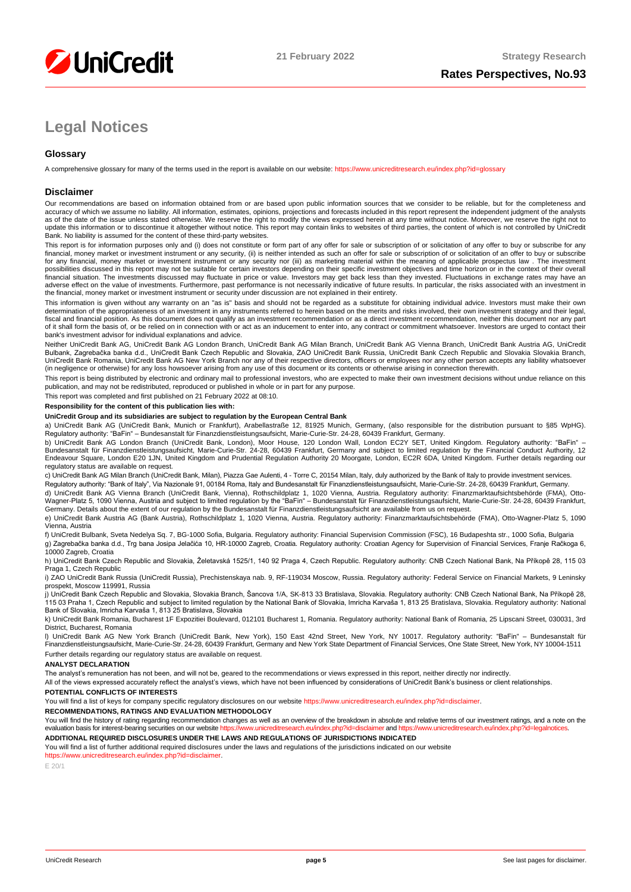

# **Legal Notices**

# **Glossary**

A comprehensive glossary for many of the terms used in the report is available on our website[: https://www.unicreditresearch.eu/index.php?id=glossary](https://www.unicreditresearch.eu/index.php?id=glossary)

#### **Disclaimer**

Our recommendations are based on information obtained from or are based upon public information sources that we consider to be reliable, but for the completeness and accuracy of which we assume no liability. All information, estimates, opinions, projections and forecasts included in this report represent the independent judgment of the analysts<br>as of the date of the issue unless stated update this information or to discontinue it altogether without notice. This report may contain links to websites of third parties, the content of which is not controlled by UniCredit Bank. No liability is assumed for the content of these third-party websites.

This report is for information purposes only and (i) does not constitute or form part of any offer for sale or subscription of or solicitation of any offer to buy or subscribe for any<br>financial, money market or investment for any financial, money market or investment instrument or any security nor (iii) as marketing material within the meaning of applicable prospectus law . The investment possibilities discussed in this report may not be suitable for certain investors depending on their specific investment objectives and time horizon or in the context of their overall<br>financial situation. The investments di adverse effect on the value of investments. Furthermore, past performance is not necessarily indicative of future results. In particular, the risks associated with an investment in the financial, money market or investment instrument or security under discussion are not explained in their entirety.

This information is given without any warranty on an "as is" basis and should not be regarded as a substitute for obtaining individual advice. Investors must make their own determination of the appropriateness of an investment in any instruments referred to herein based on the merits and risks involved, their own investment strategy and their legal,<br>fiscal and financial position. As this docu bank's investment advisor for individual explanations and advice.

Neither UniCredit Bank AG, UniCredit Bank AG London Branch, UniCredit Bank AG Milan Branch, UniCredit Bank AG Vienna Branch, UniCredit Bank Austria AG, UniCredit Bulbank, Zagrebačka banka d.d., UniCredit Bank Czech Republic and Slovakia, ZAO UniCredit Bank Russia, UniCredit Bank Czech Republic and Slovakia Slovakia Branch,<br>UniCredit Bank Romania, UniCredit Bank AG New York Branch n (in negligence or otherwise) for any loss howsoever arising from any use of this document or its contents or otherwise arising in connection therewith.

This report is being distributed by electronic and ordinary mail to professional investors, who are expected to make their own investment decisions without undue reliance on this publication, and may not be redistributed, reproduced or published in whole or in part for any purpose.

This report was completed and first published on 21 February 2022 at 08:10.

#### **Responsibility for the content of this publication lies with:**

#### **UniCredit Group and its subsidiaries are subject to regulation by the European Central Bank**

a) UniCredit Bank AG (UniCredit Bank, Munich or Frankfurt), Arabellastraße 12, 81925 Munich, Germany, (also responsible for the distribution pursuant to §85 WpHG). Regulatory authority: "BaFin" – Bundesanstalt für Finanzdienstleistungsaufsicht, Marie-Curie-Str. 24-28, 60439 Frankfurt, Germany.

b) UniCredit Bank AG London Branch (UniCredit Bank, London), Moor House, 120 London Wall, London EC2Y 5ET, United Kingdom. Regulatory authority: "BaFin" –<br>Bundesanstalt für Finanzdienstleistungsaufsicht, Marie-Curie-Str. 2 regulatory status are available on request.

c) UniCredit Bank AG Milan Branch (UniCredit Bank, Milan), Piazza Gae Aulenti, 4 - Torre C, 20154 Milan, Italy, duly authorized by the Bank of Italy to provide investment services.

Regulatory authority: "Bank of Italy", Via Nazionale 91, 00184 Roma, Italy and Bundesanstalt für Finanzdienstleistungsaufsicht, Marie-Curie-Str. 24-28, 60439 Frankfurt, Germany.

d) UniCredit Bank AG Vienna Branch (UniCredit Bank, Vienna), Rothschildplatz 1, 1020 Vienna, Austria. Regulatory authority: Finanzmarktaufsichtsbehörde (FMA), Otto-Wagner-Platz 5, 1090 Vienna, Austria and subject to limited regulation by the "BaFin" – Bundesanstalt für Finanzdienstleistungsaufsicht, Marie-Curie-Str. 24-28, 60439 Frankfurt,<br>Germany. Details about the extent of our reg

e) UniCredit Bank Austria AG (Bank Austria), Rothschildplatz 1, 1020 Vienna, Austria. Regulatory authority: Finanzmarktaufsichtsbehörde (FMA), Otto-Wagner-Platz 5, 1090 Vienna, Austria

f) UniCredit Bulbank, Sveta Nedelya Sq. 7, BG-1000 Sofia, Bulgaria. Regulatory authority: Financial Supervision Commission (FSC), 16 Budapeshta str., 1000 Sofia, Bulgaria g) Zagrebačka banka d.d., Trg bana Josipa Jelačića 10, HR-10000 Zagreb, Croatia. Regulatory authority: Croatian Agency for Supervision of Financial Services, Franje Račkoga 6, 10000 Zagreb, Croatia

h) UniCredit Bank Czech Republic and Slovakia, Želetavská 1525/1, 140 92 Praga 4, Czech Republic. Regulatory authority: CNB Czech National Bank, Na Příkopě 28, 115 03 Praga 1, Czech Republic

i) ZAO UniCredit Bank Russia (UniCredit Russia), Prechistenskaya nab. 9, RF-119034 Moscow, Russia, Regulatory authority: Federal Service on Financial Markets, 9 Leninsky prospekt, Moscow 119991, Russia

j) UniCredit Bank Czech Republic and Slovakia, Slovakia Branch, Šancova 1/A, SK-813 33 Bratislava, Slovakia. Regulatory authority: CNB Czech National Bank, Na Příkopě 28, 115 03 Praha 1, Czech Republic and subject to limited regulation by the National Bank of Slovakia, Imricha Karvaša 1, 813 25 Bratislava, Slovakia. Regulatory authority: National<br>Bank of Slovakia, Imricha Karvaša 1, 813 25

k) UniCredit Bank Romania, Bucharest 1F Expozitiei Boulevard, 012101 Bucharest 1, Romania. Regulatory authority: National Bank of Romania, 25 Lipscani Street, 030031, 3rd District, Bucharest, Romania

l) UniCredit Bank AG New York Branch (UniCredit Bank, New York), 150 East 42nd Street, New York, NY 10017. Regulatory authority: "BaFin" – Bundesanstalt für Finanzdienstleistungsaufsicht, Marie-Curie-Str. 24-28, 60439 Frankfurt, Germany and New York State Department of Financial Services, One State Street, New York, NY 10004-1511 Further details regarding our regulatory status are available on request.

#### **ANALYST DECLARATION**

The analyst's remuneration has not been, and will not be, geared to the recommendations or views expressed in this report, neither directly nor indirectly.

All of the views expressed accurately reflect the analyst's views, which have not been influenced by considerations of UniCredit Bank's business or client relationships.

#### **POTENTIAL CONFLICTS OF INTERESTS**

You will find a list of keys for company specific regulatory disclosures on our websit[e https://www.unicreditresearch.eu/index.php?id=disclaimer.](https://www.unicreditresearch.eu/index.php?id=disclaimer)

**RECOMMENDATIONS, RATINGS AND EVALUATION METHODOLOGY** 

You will find the history of rating regarding recommendation changes as well as an overview of the breakdown in absolute and relative terms of our investment ratings, and a note on the evaluation basis for interest-bearing evaluation basis for interest-bearing securities on our website https://www.unicre

**ADDITIONAL REQUIRED DISCLOSURES UNDER THE LAWS AND REGULATIONS OF JURISDICTIONS INDICATED**

You will find a list of further additional required disclosures under the laws and regulations of the jurisdictions indicated on our website [https://www.unicreditresearch.eu/index.php?id=disclaimer.](https://www.unicreditresearch.eu/index.php?id=disclaimer) 

E 20/1